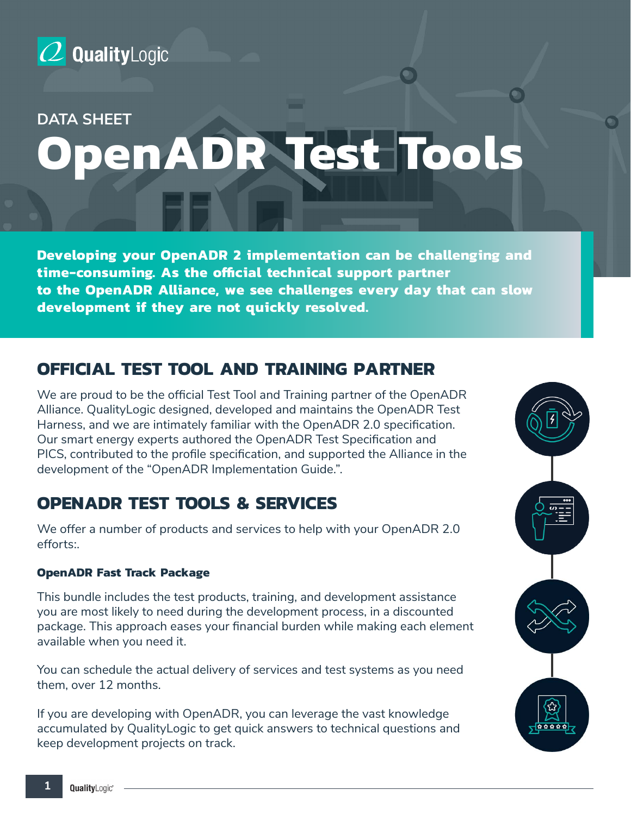

### **DATA SHEET**

# **OpenADR Test Tools**

**Developing your OpenADR 2 implementation can be challenging and time-consuming. As the official technical support partner to the OpenADR Alliance, we see challenges every day that can slow development if they are not quickly resolved.**

## **OFFICIAL TEST TOOL AND TRAINING PARTNER**

We are proud to be the official Test Tool and Training partner of the OpenADR Alliance. QualityLogic designed, developed and maintains the OpenADR Test Harness, and we are intimately familiar with the OpenADR 2.0 specification. Our smart energy experts authored the OpenADR Test Specification and PICS, contributed to the profile specification, and supported the Alliance in the development of the "OpenADR Implementation Guide.".

## **OPENADR TEST TOOLS & SERVICES**

We offer a number of products and services to help with your OpenADR 2.0 efforts:.

#### **OpenADR Fast Track Package**

This bundle includes the test products, training, and development assistance you are most likely to need during the development process, in a discounted package. This approach eases your financial burden while making each element available when you need it.

You can schedule the actual delivery of services and test systems as you need them, over 12 months.

If you are developing with OpenADR, you can leverage the vast knowledge accumulated by QualityLogic to get quick answers to technical questions and keep development projects on track.

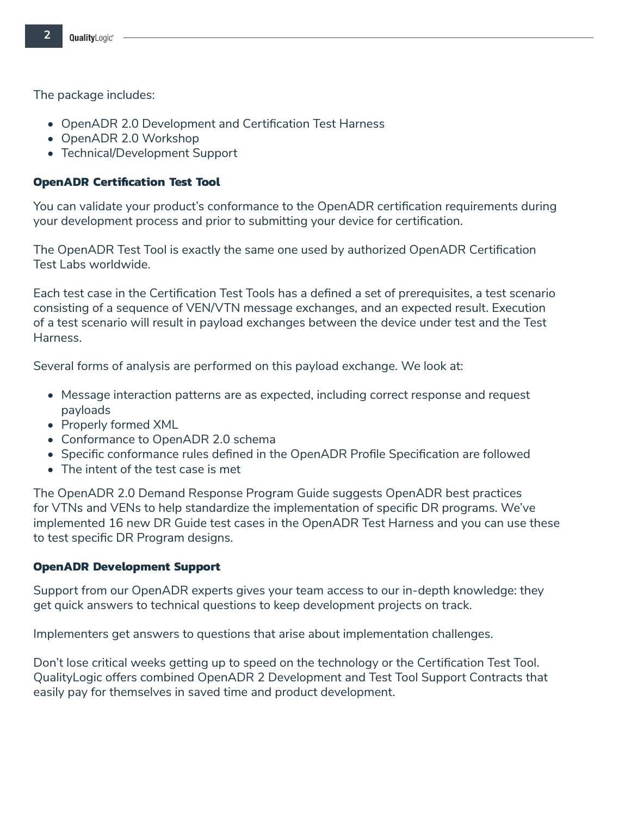The package includes:

- OpenADR 2.0 Development and Certification Test Harness
- OpenADR 2.0 Workshop
- Technical/Development Support

#### **OpenADR Certification Test Tool**

You can validate your product's conformance to the OpenADR certification requirements during your development process and prior to submitting your device for certification.

The OpenADR Test Tool is exactly the same one used by authorized OpenADR Certification Test Labs worldwide.

Each test case in the Certification Test Tools has a defined a set of prerequisites, a test scenario consisting of a sequence of VEN/VTN message exchanges, and an expected result. Execution of a test scenario will result in payload exchanges between the device under test and the Test Harness.

Several forms of analysis are performed on this payload exchange. We look at:

- Message interaction patterns are as expected, including correct response and request payloads
- Properly formed XML
- Conformance to OpenADR 2.0 schema
- Specific conformance rules defined in the OpenADR Profile Specification are followed
- The intent of the test case is met

The OpenADR 2.0 Demand Response Program Guide suggests OpenADR best practices for VTNs and VENs to help standardize the implementation of specific DR programs. We've implemented 16 new DR Guide test cases in the OpenADR Test Harness and you can use these to test specific DR Program designs.

#### **OpenADR Development Support**

Support from our OpenADR experts gives your team access to our in-depth knowledge: they get quick answers to technical questions to keep development projects on track.

Implementers get answers to questions that arise about implementation challenges.

Don't lose critical weeks getting up to speed on the technology or the Certification Test Tool. QualityLogic offers combined OpenADR 2 Development and Test Tool Support Contracts that easily pay for themselves in saved time and product development.